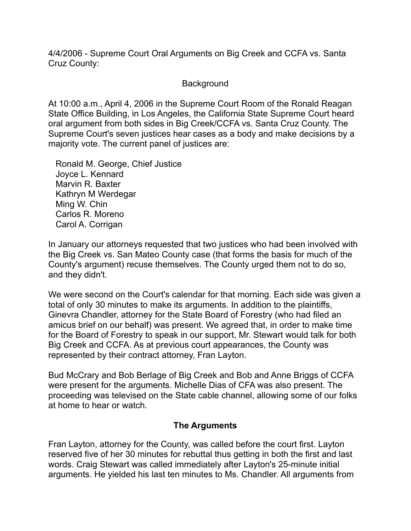4/4/2006 - Supreme Court Oral Arguments on Big Creek and CCFA vs. Santa Cruz County:

## Background

At 10:00 a.m., April 4, 2006 in the Supreme Court Room of the Ronald Reagan State Office Building, in Los Angeles, the California State Supreme Court heard oral argument from both sides in Big Creek/CCFA vs. Santa Cruz County. The Supreme Court's seven justices hear cases as a body and make decisions by a majority vote. The current panel of justices are:

 Ronald M. George, Chief Justice Joyce L. Kennard Marvin R. Baxter Kathryn M Werdegar Ming W. Chin Carlos R. Moreno Carol A. Corrigan

In January our attorneys requested that two justices who had been involved with the Big Creek vs. San Mateo County case (that forms the basis for much of the County's argument) recuse themselves. The County urged them not to do so, and they didn't.

We were second on the Court's calendar for that morning. Each side was given a total of only 30 minutes to make its arguments. In addition to the plaintiffs, Ginevra Chandler, attorney for the State Board of Forestry (who had filed an amicus brief on our behalf) was present. We agreed that, in order to make time for the Board of Forestry to speak in our support, Mr. Stewart would talk for both Big Creek and CCFA. As at previous court appearances, the County was represented by their contract attorney, Fran Layton.

Bud McCrary and Bob Berlage of Big Creek and Bob and Anne Briggs of CCFA were present for the arguments. Michelle Dias of CFA was also present. The proceeding was televised on the State cable channel, allowing some of our folks at home to hear or watch.

## **The Arguments**

Fran Layton, attorney for the County, was called before the court first. Layton reserved five of her 30 minutes for rebuttal thus getting in both the first and last words. Craig Stewart was called immediately after Layton's 25-minute initial arguments. He yielded his last ten minutes to Ms. Chandler. All arguments from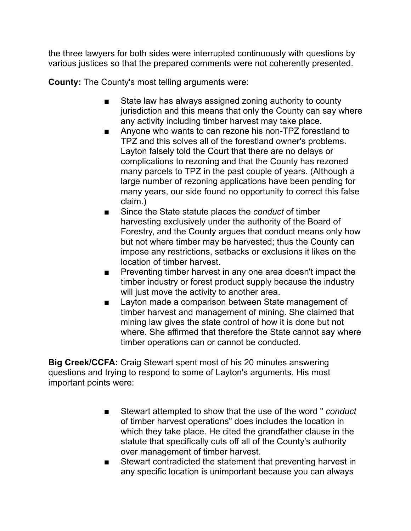the three lawyers for both sides were interrupted continuously with questions by various justices so that the prepared comments were not coherently presented.

**County:** The County's most telling arguments were:

- State law has always assigned zoning authority to county jurisdiction and this means that only the County can say where any activity including timber harvest may take place.
- Anyone who wants to can rezone his non-TPZ forestland to TPZ and this solves all of the forestland owner's problems. Layton falsely told the Court that there are no delays or complications to rezoning and that the County has rezoned many parcels to TPZ in the past couple of years. (Although a large number of rezoning applications have been pending for many years, our side found no opportunity to correct this false claim.)
- Since the State statute places the *conduct* of timber harvesting exclusively under the authority of the Board of Forestry, and the County argues that conduct means only how but not where timber may be harvested; thus the County can impose any restrictions, setbacks or exclusions it likes on the location of timber harvest.
- Preventing timber harvest in any one area doesn't impact the timber industry or forest product supply because the industry will just move the activity to another area.
- Layton made a comparison between State management of timber harvest and management of mining. She claimed that mining law gives the state control of how it is done but not where. She affirmed that therefore the State cannot say where timber operations can or cannot be conducted.

**Big Creek/CCFA:** Craig Stewart spent most of his 20 minutes answering questions and trying to respond to some of Layton's arguments. His most important points were:

- Stewart attempted to show that the use of the word " *conduct* of timber harvest operations" does includes the location in which they take place. He cited the grandfather clause in the statute that specifically cuts off all of the County's authority over management of timber harvest.
- Stewart contradicted the statement that preventing harvest in any specific location is unimportant because you can always